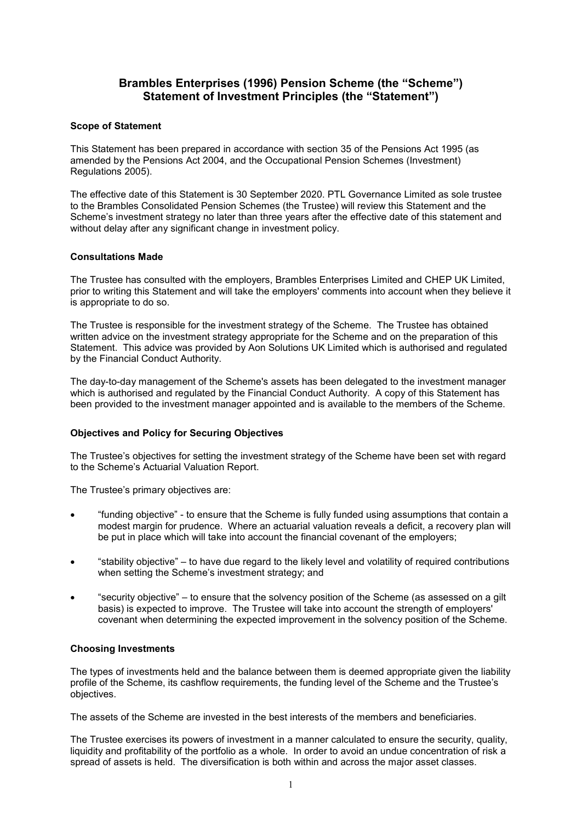# **Brambles Enterprises (1996) Pension Scheme (the "Scheme") Statement of Investment Principles (the "Statement")**

#### **Scope of Statement**

This Statement has been prepared in accordance with section 35 of the Pensions Act 1995 (as amended by the Pensions Act 2004, and the Occupational Pension Schemes (Investment) Regulations 2005).

The effective date of this Statement is 30 September 2020. PTL Governance Limited as sole trustee to the Brambles Consolidated Pension Schemes (the Trustee) will review this Statement and the Scheme's investment strategy no later than three years after the effective date of this statement and without delay after any significant change in investment policy.

#### **Consultations Made**

The Trustee has consulted with the employers, Brambles Enterprises Limited and CHEP UK Limited, prior to writing this Statement and will take the employers' comments into account when they believe it is appropriate to do so.

The Trustee is responsible for the investment strategy of the Scheme. The Trustee has obtained written advice on the investment strategy appropriate for the Scheme and on the preparation of this Statement. This advice was provided by Aon Solutions UK Limited which is authorised and regulated by the Financial Conduct Authority.

The day-to-day management of the Scheme's assets has been delegated to the investment manager which is authorised and regulated by the Financial Conduct Authority. A copy of this Statement has been provided to the investment manager appointed and is available to the members of the Scheme.

### **Objectives and Policy for Securing Objectives**

The Trustee's objectives for setting the investment strategy of the Scheme have been set with regard to the Scheme's Actuarial Valuation Report.

The Trustee's primary objectives are:

- "funding objective" to ensure that the Scheme is fully funded using assumptions that contain a modest margin for prudence. Where an actuarial valuation reveals a deficit, a recovery plan will be put in place which will take into account the financial covenant of the employers;
- "stability objective" to have due regard to the likely level and volatility of required contributions when setting the Scheme's investment strategy; and
- "security objective" to ensure that the solvency position of the Scheme (as assessed on a gilt basis) is expected to improve. The Trustee will take into account the strength of employers' covenant when determining the expected improvement in the solvency position of the Scheme.

### **Choosing Investments**

The types of investments held and the balance between them is deemed appropriate given the liability profile of the Scheme, its cashflow requirements, the funding level of the Scheme and the Trustee's objectives.

The assets of the Scheme are invested in the best interests of the members and beneficiaries.

The Trustee exercises its powers of investment in a manner calculated to ensure the security, quality, liquidity and profitability of the portfolio as a whole. In order to avoid an undue concentration of risk a spread of assets is held. The diversification is both within and across the major asset classes.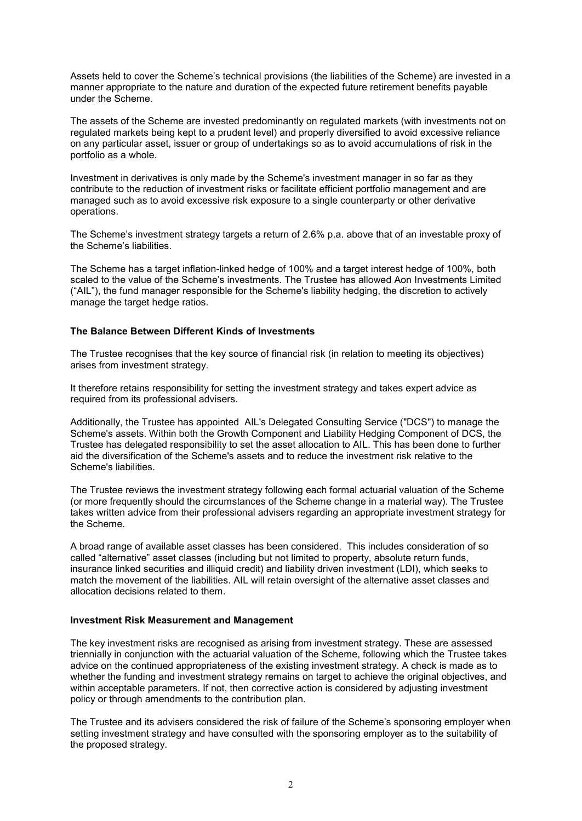Assets held to cover the Scheme's technical provisions (the liabilities of the Scheme) are invested in a manner appropriate to the nature and duration of the expected future retirement benefits payable under the Scheme.

The assets of the Scheme are invested predominantly on regulated markets (with investments not on regulated markets being kept to a prudent level) and properly diversified to avoid excessive reliance on any particular asset, issuer or group of undertakings so as to avoid accumulations of risk in the portfolio as a whole.

Investment in derivatives is only made by the Scheme's investment manager in so far as they contribute to the reduction of investment risks or facilitate efficient portfolio management and are managed such as to avoid excessive risk exposure to a single counterparty or other derivative operations.

The Scheme's investment strategy targets a return of 2.6% p.a. above that of an investable proxy of the Scheme's liabilities.

The Scheme has a target inflation-linked hedge of 100% and a target interest hedge of 100%, both scaled to the value of the Scheme's investments. The Trustee has allowed Aon Investments Limited ("AIL"), the fund manager responsible for the Scheme's liability hedging, the discretion to actively manage the target hedge ratios.

#### **The Balance Between Different Kinds of Investments**

The Trustee recognises that the key source of financial risk (in relation to meeting its objectives) arises from investment strategy.

It therefore retains responsibility for setting the investment strategy and takes expert advice as required from its professional advisers.

Additionally, the Trustee has appointed AIL's Delegated Consulting Service ("DCS") to manage the Scheme's assets. Within both the Growth Component and Liability Hedging Component of DCS, the Trustee has delegated responsibility to set the asset allocation to AIL. This has been done to further aid the diversification of the Scheme's assets and to reduce the investment risk relative to the Scheme's liabilities.

The Trustee reviews the investment strategy following each formal actuarial valuation of the Scheme (or more frequently should the circumstances of the Scheme change in a material way). The Trustee takes written advice from their professional advisers regarding an appropriate investment strategy for the Scheme.

A broad range of available asset classes has been considered. This includes consideration of so called "alternative" asset classes (including but not limited to property, absolute return funds, insurance linked securities and illiquid credit) and liability driven investment (LDI), which seeks to match the movement of the liabilities. AIL will retain oversight of the alternative asset classes and allocation decisions related to them.

#### **Investment Risk Measurement and Management**

The key investment risks are recognised as arising from investment strategy. These are assessed triennially in conjunction with the actuarial valuation of the Scheme, following which the Trustee takes advice on the continued appropriateness of the existing investment strategy. A check is made as to whether the funding and investment strategy remains on target to achieve the original objectives, and within acceptable parameters. If not, then corrective action is considered by adjusting investment policy or through amendments to the contribution plan.

The Trustee and its advisers considered the risk of failure of the Scheme's sponsoring employer when setting investment strategy and have consulted with the sponsoring employer as to the suitability of the proposed strategy.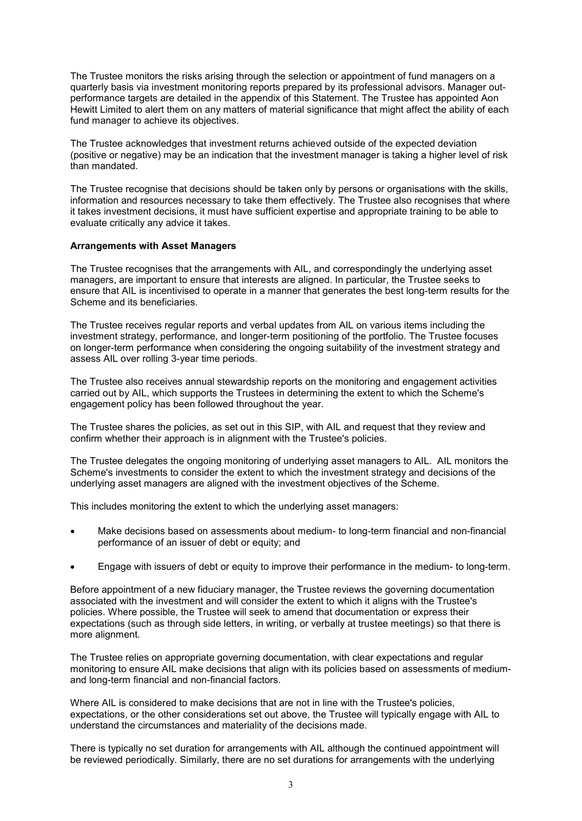The Trustee monitors the risks arising through the selection or appointment of fund managers on a quarterly basis via investment monitoring reports prepared by its professional advisors. Manager outperformance targets are detailed in the appendix of this Statement. The Trustee has appointed Aon Hewitt Limited to alert them on any matters of material significance that might affect the ability of each fund manager to achieve its objectives.

The Trustee acknowledges that investment returns achieved outside of the expected deviation (positive or negative) may be an indication that the investment manager is taking a higher level of risk than mandated.

The Trustee recognise that decisions should be taken only by persons or organisations with the skills, information and resources necessary to take them effectively. The Trustee also recognises that where it takes investment decisions, it must have sufficient expertise and appropriate training to be able to evaluate critically any advice it takes.

#### **Arrangements with Asset Managers**

The Trustee recognises that the arrangements with AIL, and correspondingly the underlying asset managers, are important to ensure that interests are aligned. In particular, the Trustee seeks to ensure that AIL is incentivised to operate in a manner that generates the best long-term results for the Scheme and its beneficiaries.

The Trustee receives regular reports and verbal updates from AIL on various items including the investment strategy, performance, and longer-term positioning of the portfolio. The Trustee focuses on longer-term performance when considering the ongoing suitability of the investment strategy and assess AIL over rolling 3-year time periods.

The Trustee also receives annual stewardship reports on the monitoring and engagement activities carried out by AIL, which supports the Trustees in determining the extent to which the Scheme's engagement policy has been followed throughout the year.

The Trustee shares the policies, as set out in this SIP, with AIL and request that they review and confirm whether their approach is in alignment with the Trustee's policies.

The Trustee delegates the ongoing monitoring of underlying asset managers to AIL. AIL monitors the Scheme's investments to consider the extent to which the investment strategy and decisions of the underlying asset managers are aligned with the investment objectives of the Scheme.

This includes monitoring the extent to which the underlying asset managers:

- Make decisions based on assessments about medium- to long-term financial and non-financial performance of an issuer of debt or equity; and
- Engage with issuers of debt or equity to improve their performance in the medium- to long-term.

Before appointment of a new fiduciary manager, the Trustee reviews the governing documentation associated with the investment and will consider the extent to which it aligns with the Trustee's policies. Where possible, the Trustee will seek to amend that documentation or express their expectations (such as through side letters, in writing, or verbally at trustee meetings) so that there is more alignment.

The Trustee relies on appropriate governing documentation, with clear expectations and regular monitoring to ensure AIL make decisions that align with its policies based on assessments of mediumand long-term financial and non-financial factors.

Where AIL is considered to make decisions that are not in line with the Trustee's policies, expectations, or the other considerations set out above, the Trustee will typically engage with AIL to understand the circumstances and materiality of the decisions made.

There is typically no set duration for arrangements with AIL although the continued appointment will be reviewed periodically. Similarly, there are no set durations for arrangements with the underlying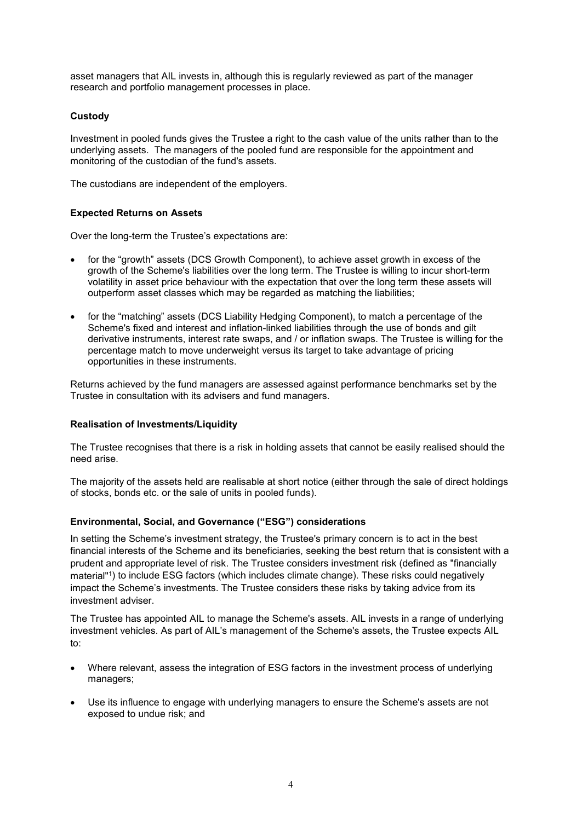asset managers that AIL invests in, although this is regularly reviewed as part of the manager research and portfolio management processes in place.

### **Custody**

Investment in pooled funds gives the Trustee a right to the cash value of the units rather than to the underlying assets. The managers of the pooled fund are responsible for the appointment and monitoring of the custodian of the fund's assets.

The custodians are independent of the employers.

### **Expected Returns on Assets**

Over the long-term the Trustee's expectations are:

- for the "growth" assets (DCS Growth Component), to achieve asset growth in excess of the growth of the Scheme's liabilities over the long term. The Trustee is willing to incur short-term volatility in asset price behaviour with the expectation that over the long term these assets will outperform asset classes which may be regarded as matching the liabilities;
- for the "matching" assets (DCS Liability Hedging Component), to match a percentage of the Scheme's fixed and interest and inflation-linked liabilities through the use of bonds and gilt derivative instruments, interest rate swaps, and / or inflation swaps. The Trustee is willing for the percentage match to move underweight versus its target to take advantage of pricing opportunities in these instruments.

Returns achieved by the fund managers are assessed against performance benchmarks set by the Trustee in consultation with its advisers and fund managers.

### **Realisation of Investments/Liquidity**

The Trustee recognises that there is a risk in holding assets that cannot be easily realised should the need arise.

The majority of the assets held are realisable at short notice (either through the sale of direct holdings of stocks, bonds etc. or the sale of units in pooled funds).

### **Environmental, Social, and Governance ("ESG") considerations**

In setting the Scheme's investment strategy, the Trustee's primary concern is to act in the best financial interests of the Scheme and its beneficiaries, seeking the best return that is consistent with a prudent and appropriate level of risk. The Trustee considers investment risk (defined as "financially material"1) to include ESG factors (which includes climate change). These risks could negatively impact the Scheme's investments. The Trustee considers these risks by taking advice from its investment adviser.

The Trustee has appointed AIL to manage the Scheme's assets. AIL invests in a range of underlying investment vehicles. As part of AIL's management of the Scheme's assets, the Trustee expects AIL to:

- Where relevant, assess the integration of ESG factors in the investment process of underlying managers;
- Use its influence to engage with underlying managers to ensure the Scheme's assets are not exposed to undue risk; and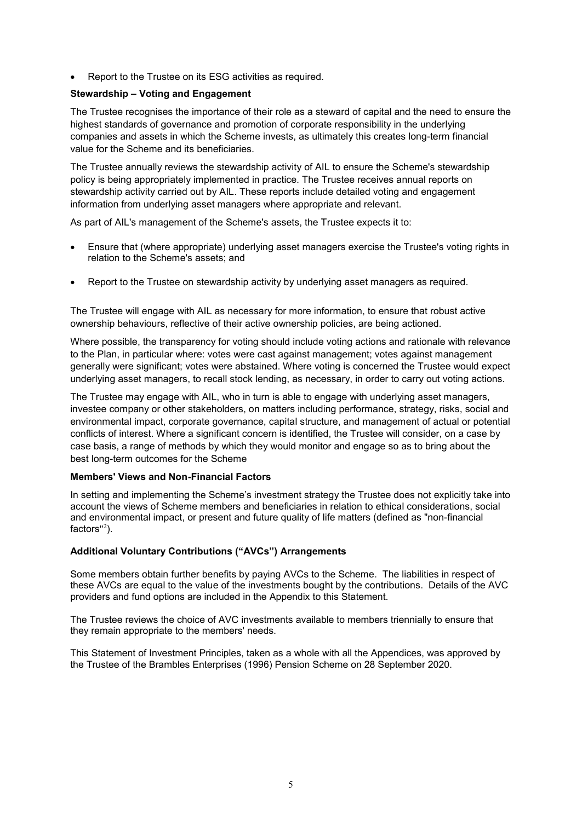Report to the Trustee on its ESG activities as required.

### **Stewardship – Voting and Engagement**

The Trustee recognises the importance of their role as a steward of capital and the need to ensure the highest standards of governance and promotion of corporate responsibility in the underlying companies and assets in which the Scheme invests, as ultimately this creates long-term financial value for the Scheme and its beneficiaries.

The Trustee annually reviews the stewardship activity of AIL to ensure the Scheme's stewardship policy is being appropriately implemented in practice. The Trustee receives annual reports on stewardship activity carried out by AIL. These reports include detailed voting and engagement information from underlying asset managers where appropriate and relevant.

As part of AIL's management of the Scheme's assets, the Trustee expects it to:

- Ensure that (where appropriate) underlying asset managers exercise the Trustee's voting rights in relation to the Scheme's assets; and
- Report to the Trustee on stewardship activity by underlying asset managers as required.

The Trustee will engage with AIL as necessary for more information, to ensure that robust active ownership behaviours, reflective of their active ownership policies, are being actioned.

Where possible, the transparency for voting should include voting actions and rationale with relevance to the Plan, in particular where: votes were cast against management; votes against management generally were significant; votes were abstained. Where voting is concerned the Trustee would expect underlying asset managers, to recall stock lending, as necessary, in order to carry out voting actions.

The Trustee may engage with AIL, who in turn is able to engage with underlying asset managers, investee company or other stakeholders, on matters including performance, strategy, risks, social and environmental impact, corporate governance, capital structure, and management of actual or potential conflicts of interest. Where a significant concern is identified, the Trustee will consider, on a case by case basis, a range of methods by which they would monitor and engage so as to bring about the best long-term outcomes for the Scheme

### **Members' Views and Non-Financial Factors**

In setting and implementing the Scheme's investment strategy the Trustee does not explicitly take into account the views of Scheme members and beneficiaries in relation to ethical considerations, social and environmental impact, or present and future quality of life matters (defined as "non-financial factors"<sup>2</sup>).

#### **Additional Voluntary Contributions ("AVCs") Arrangements**

Some members obtain further benefits by paying AVCs to the Scheme. The liabilities in respect of these AVCs are equal to the value of the investments bought by the contributions. Details of the AVC providers and fund options are included in the Appendix to this Statement.

The Trustee reviews the choice of AVC investments available to members triennially to ensure that they remain appropriate to the members' needs.

This Statement of Investment Principles, taken as a whole with all the Appendices, was approved by the Trustee of the Brambles Enterprises (1996) Pension Scheme on 28 September 2020.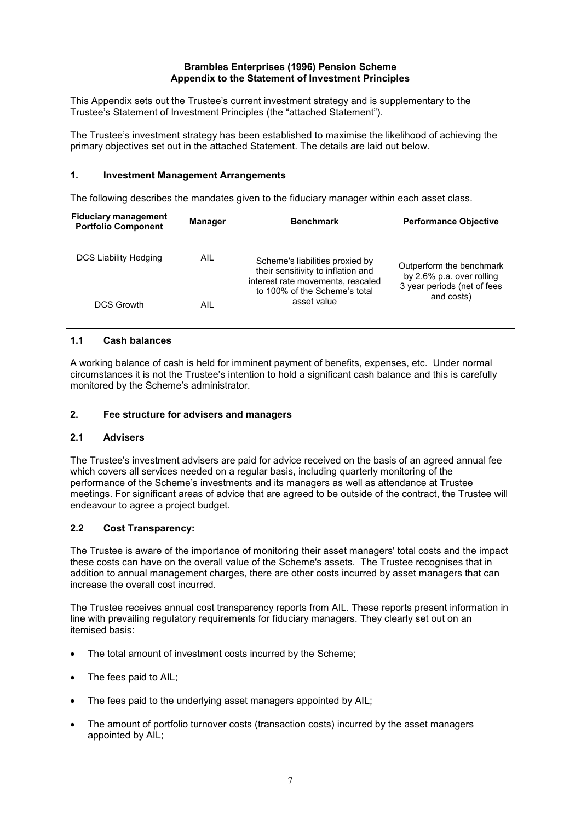#### **Brambles Enterprises (1996) Pension Scheme Appendix to the Statement of Investment Principles**

This Appendix sets out the Trustee's current investment strategy and is supplementary to the Trustee's Statement of Investment Principles (the "attached Statement").

The Trustee's investment strategy has been established to maximise the likelihood of achieving the primary objectives set out in the attached Statement. The details are laid out below.

#### **1. Investment Management Arrangements**

The following describes the mandates given to the fiduciary manager within each asset class.

| <b>Fiduciary management</b><br><b>Portfolio Component</b> | <b>Manager</b> | <b>Benchmark</b>                                                                                                                                           | <b>Performance Objective</b>                                                                       |
|-----------------------------------------------------------|----------------|------------------------------------------------------------------------------------------------------------------------------------------------------------|----------------------------------------------------------------------------------------------------|
| DCS Liability Hedging                                     | AIL.           | Scheme's liabilities proxied by<br>their sensitivity to inflation and<br>interest rate movements, rescaled<br>to 100% of the Scheme's total<br>asset value | Outperform the benchmark<br>by 2.6% p.a. over rolling<br>3 year periods (net of fees<br>and costs) |
| <b>DCS Growth</b>                                         | AIL            |                                                                                                                                                            |                                                                                                    |

#### **1.1 Cash balances**

A working balance of cash is held for imminent payment of benefits, expenses, etc. Under normal circumstances it is not the Trustee's intention to hold a significant cash balance and this is carefully monitored by the Scheme's administrator.

### **2. Fee structure for advisers and managers**

#### **2.1 Advisers**

The Trustee's investment advisers are paid for advice received on the basis of an agreed annual fee which covers all services needed on a regular basis, including quarterly monitoring of the performance of the Scheme's investments and its managers as well as attendance at Trustee meetings. For significant areas of advice that are agreed to be outside of the contract, the Trustee will endeavour to agree a project budget.

### **2.2 Cost Transparency:**

The Trustee is aware of the importance of monitoring their asset managers' total costs and the impact these costs can have on the overall value of the Scheme's assets. The Trustee recognises that in addition to annual management charges, there are other costs incurred by asset managers that can increase the overall cost incurred.

The Trustee receives annual cost transparency reports from AIL. These reports present information in line with prevailing regulatory requirements for fiduciary managers. They clearly set out on an itemised basis:

- The total amount of investment costs incurred by the Scheme;
- The fees paid to AIL;
- The fees paid to the underlying asset managers appointed by AIL;
- The amount of portfolio turnover costs (transaction costs) incurred by the asset managers appointed by AIL;